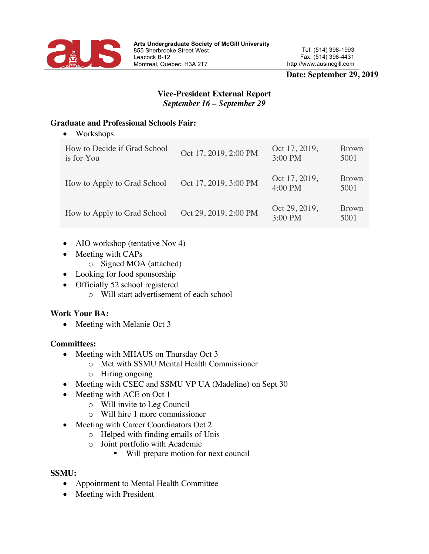

#### **Date: September 29, 2019**

# **Vice-President External Report** *September 16 – September 29*

# **Graduate and Professional Schools Fair:**

• Workshops

| How to Decide if Grad School<br>is for You | Oct 17, 2019, 2:00 PM | Oct 17, 2019,<br>$3:00$ PM | <b>Brown</b><br>5001 |
|--------------------------------------------|-----------------------|----------------------------|----------------------|
| How to Apply to Grad School                | Oct 17, 2019, 3:00 PM | Oct 17, 2019,<br>4:00 PM   | <b>Brown</b><br>5001 |
| How to Apply to Grad School                | Oct 29, 2019, 2:00 PM | Oct 29, 2019,<br>3:00 PM   | <b>Brown</b><br>5001 |

- AIO workshop (tentative Nov 4)
- Meeting with CAPs
	- o Signed MOA (attached)
- Looking for food sponsorship
- Officially 52 school registered
	- o Will start advertisement of each school

# **Work Your BA:**

• Meeting with Melanie Oct 3

# **Committees:**

- Meeting with MHAUS on Thursday Oct 3
	- o Met with SSMU Mental Health Commissioner
	- o Hiring ongoing
- Meeting with CSEC and SSMU VP UA (Madeline) on Sept 30
- Meeting with ACE on Oct 1
	- o Will invite to Leg Council
	- o Will hire 1 more commissioner
- Meeting with Career Coordinators Oct 2
	- o Helped with finding emails of Unis
		- o Joint portfolio with Academic
			- Will prepare motion for next council

# **SSMU:**

- Appointment to Mental Health Committee
- Meeting with President